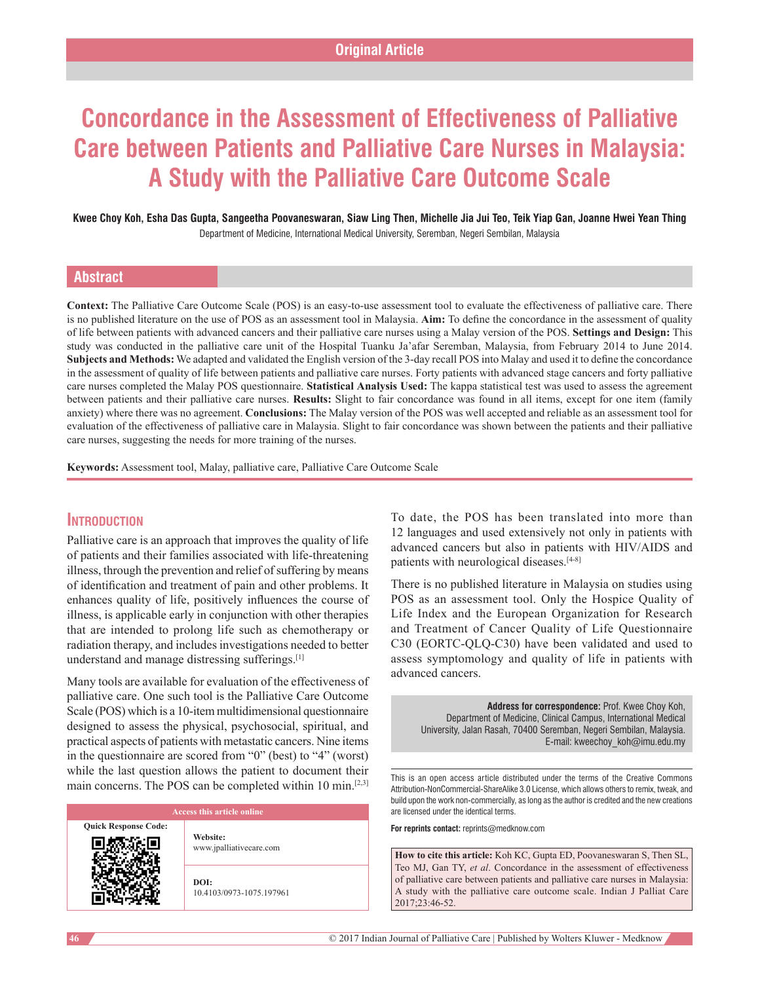# **Concordance in the Assessment of Effectiveness of Palliative Care between Patients and Palliative Care Nurses in Malaysia: A Study with the Palliative Care Outcome Scale**

**Kwee Choy Koh, Esha Das Gupta, Sangeetha Poovaneswaran, Siaw Ling Then, Michelle Jia Jui Teo, Teik Yiap Gan, Joanne Hwei Yean Thing** Department of Medicine, International Medical University, Seremban, Negeri Sembilan, Malaysia

## **Abstract**

Context: The Palliative Care Outcome Scale (POS) is an easy-to-use assessment tool to evaluate the effectiveness of palliative care. There is no published literature on the use of POS as an assessment tool in Malaysia. **Aim:** To define the concordance in the assessment of quality of life between patients with advanced cancers and their palliative care nurses using a Malay version of the POS. **Settings and Design:** This study was conducted in the palliative care unit of the Hospital Tuanku Ja'afar Seremban, Malaysia, from February 2014 to June 2014. **Subjects and Methods:** We adapted and validated the English version of the 3‑day recall POS into Malay and used it to define the concordance in the assessment of quality of life between patients and palliative care nurses. Forty patients with advanced stage cancers and forty palliative care nurses completed the Malay POS questionnaire. **Statistical Analysis Used:** The kappa statistical test was used to assess the agreement between patients and their palliative care nurses. **Results:** Slight to fair concordance was found in all items, except for one item (family anxiety) where there was no agreement. **Conclusions:** The Malay version of the POS was well accepted and reliable as an assessment tool for evaluation of the effectiveness of palliative care in Malaysia. Slight to fair concordance was shown between the patients and their palliative care nurses, suggesting the needs for more training of the nurses.

**Keywords:** Assessment tool, Malay, palliative care, Palliative Care Outcome Scale

## **Introduction**

Palliative care is an approach that improves the quality of life of patients and their families associated with life‑threatening illness, through the prevention and relief of suffering by means of identification and treatment of pain and other problems. It enhances quality of life, positively influences the course of illness, is applicable early in conjunction with other therapies that are intended to prolong life such as chemotherapy or radiation therapy, and includes investigations needed to better understand and manage distressing sufferings.[1]

Many tools are available for evaluation of the effectiveness of palliative care. One such tool is the Palliative Care Outcome Scale (POS) which is a 10-item multidimensional questionnaire designed to assess the physical, psychosocial, spiritual, and practical aspects of patients with metastatic cancers. Nine items in the questionnaire are scored from "0" (best) to "4" (worst) while the last question allows the patient to document their main concerns. The POS can be completed within 10 min.<sup>[2,3]</sup>

| Access this article online  |                                     |  |  |
|-----------------------------|-------------------------------------|--|--|
| <b>Quick Response Code:</b> | Website:<br>www.jpalliativecare.com |  |  |
|                             | DOI:<br>10.4103/0973-1075.197961    |  |  |

To date, the POS has been translated into more than 12 languages and used extensively not only in patients with advanced cancers but also in patients with HIV/AIDS and patients with neurological diseases.[4‑8]

There is no published literature in Malaysia on studies using POS as an assessment tool. Only the Hospice Quality of Life Index and the European Organization for Research and Treatment of Cancer Quality of Life Questionnaire C30 (EORTC-QLQ-C30) have been validated and used to assess symptomology and quality of life in patients with advanced cancers.

> **Address for correspondence:** Prof. Kwee Choy Koh, Department of Medicine, Clinical Campus, International Medical University, Jalan Rasah, 70400 Seremban, Negeri Sembilan, Malaysia. E‑mail: kweechoy\_koh@imu.edu.my

This is an open access article distributed under the terms of the Creative Commons Attribution‑NonCommercial‑ShareAlike 3.0 License, which allows others to remix, tweak, and build upon the work non-commercially, as long as the author is credited and the new creations are licensed under the identical terms.

**For reprints contact:** reprints@medknow.com

**How to cite this article:** Koh KC, Gupta ED, Poovaneswaran S, Then SL, Teo MJ, Gan TY, *et al*. Concordance in the assessment of effectiveness of palliative care between patients and palliative care nurses in Malaysia: A study with the palliative care outcome scale. Indian J Palliat Care 2017;23:46-52.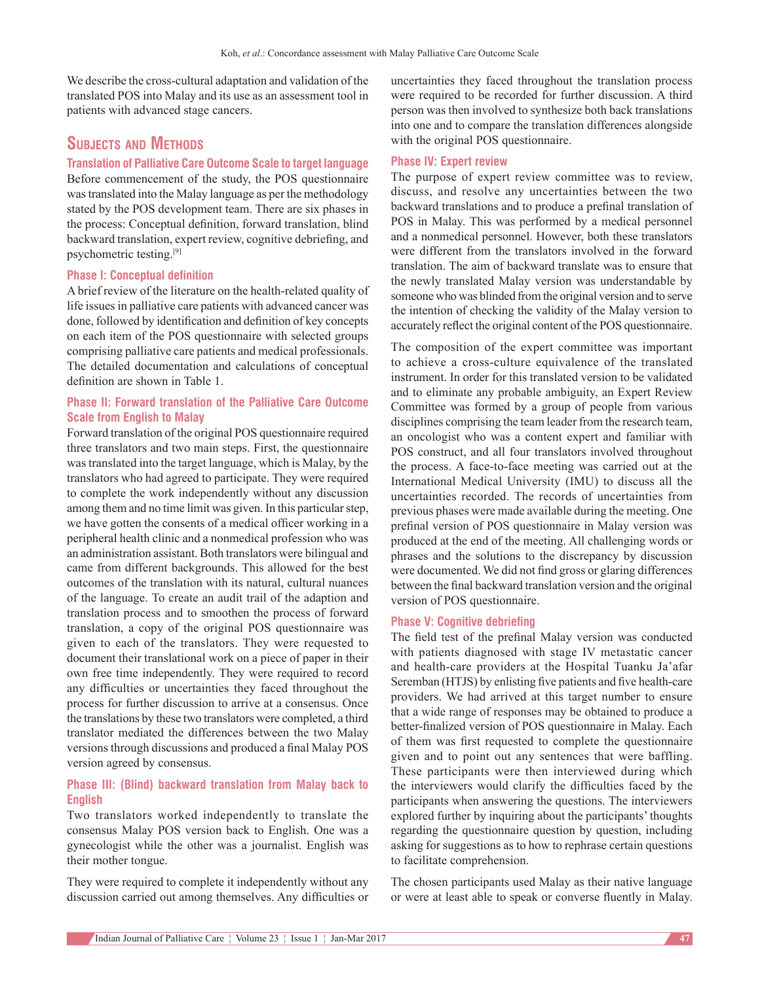We describe the cross-cultural adaptation and validation of the translated POS into Malay and its use as an assessment tool in patients with advanced stage cancers.

## **Subjects and Methods**

#### **Translation of Palliative Care Outcome Scale to target language**

Before commencement of the study, the POS questionnaire was translated into the Malay language as per the methodology stated by the POS development team. There are six phases in the process: Conceptual definition, forward translation, blind backward translation, expert review, cognitive debriefing, and psychometric testing.[9]

#### **Phase I: Conceptual definition**

A brief review of the literature on the health-related quality of life issues in palliative care patients with advanced cancer was done, followed by identification and definition of key concepts on each item of the POS questionnaire with selected groups comprising palliative care patients and medical professionals. The detailed documentation and calculations of conceptual definition are shown in Table 1.

## **Phase II: Forward translation of the Palliative Care Outcome Scale from English to Malay**

Forward translation of the original POS questionnaire required three translators and two main steps. First, the questionnaire was translated into the target language, which is Malay, by the translators who had agreed to participate. They were required to complete the work independently without any discussion among them and no time limit was given. In this particular step, we have gotten the consents of a medical officer working in a peripheral health clinic and a nonmedical profession who was an administration assistant. Both translators were bilingual and came from different backgrounds. This allowed for the best outcomes of the translation with its natural, cultural nuances of the language. To create an audit trail of the adaption and translation process and to smoothen the process of forward translation, a copy of the original POS questionnaire was given to each of the translators. They were requested to document their translational work on a piece of paper in their own free time independently. They were required to record any difficulties or uncertainties they faced throughout the process for further discussion to arrive at a consensus. Once the translations by these two translators were completed, a third translator mediated the differences between the two Malay versions through discussions and produced a final Malay POS version agreed by consensus.

## **Phase III: (Blind) backward translation from Malay back to English**

Two translators worked independently to translate the consensus Malay POS version back to English. One was a gynecologist while the other was a journalist. English was their mother tongue.

They were required to complete it independently without any discussion carried out among themselves. Any difficulties or uncertainties they faced throughout the translation process were required to be recorded for further discussion. A third person was then involved to synthesize both back translations into one and to compare the translation differences alongside with the original POS questionnaire.

#### **Phase IV: Expert review**

The purpose of expert review committee was to review, discuss, and resolve any uncertainties between the two backward translations and to produce a prefinal translation of POS in Malay. This was performed by a medical personnel and a nonmedical personnel. However, both these translators were different from the translators involved in the forward translation. The aim of backward translate was to ensure that the newly translated Malay version was understandable by someone who was blinded from the original version and to serve the intention of checking the validity of the Malay version to accurately reflect the original content of the POS questionnaire.

The composition of the expert committee was important to achieve a cross‑culture equivalence of the translated instrument. In order for this translated version to be validated and to eliminate any probable ambiguity, an Expert Review Committee was formed by a group of people from various disciplines comprising the team leader from the research team, an oncologist who was a content expert and familiar with POS construct, and all four translators involved throughout the process. A face-to-face meeting was carried out at the International Medical University (IMU) to discuss all the uncertainties recorded. The records of uncertainties from previous phases were made available during the meeting. One prefinal version of POS questionnaire in Malay version was produced at the end of the meeting. All challenging words or phrases and the solutions to the discrepancy by discussion were documented. We did not find gross or glaring differences between the final backward translation version and the original version of POS questionnaire.

#### **Phase V: Cognitive debriefing**

The field test of the prefinal Malay version was conducted with patients diagnosed with stage IV metastatic cancer and health-care providers at the Hospital Tuanku Ja'afar Seremban (HTJS) by enlisting five patients and five health-care providers. We had arrived at this target number to ensure that a wide range of responses may be obtained to produce a better-finalized version of POS questionnaire in Malay. Each of them was first requested to complete the questionnaire given and to point out any sentences that were baffling. These participants were then interviewed during which the interviewers would clarify the difficulties faced by the participants when answering the questions. The interviewers explored further by inquiring about the participants' thoughts regarding the questionnaire question by question, including asking for suggestions as to how to rephrase certain questions to facilitate comprehension.

The chosen participants used Malay as their native language or were at least able to speak or converse fluently in Malay.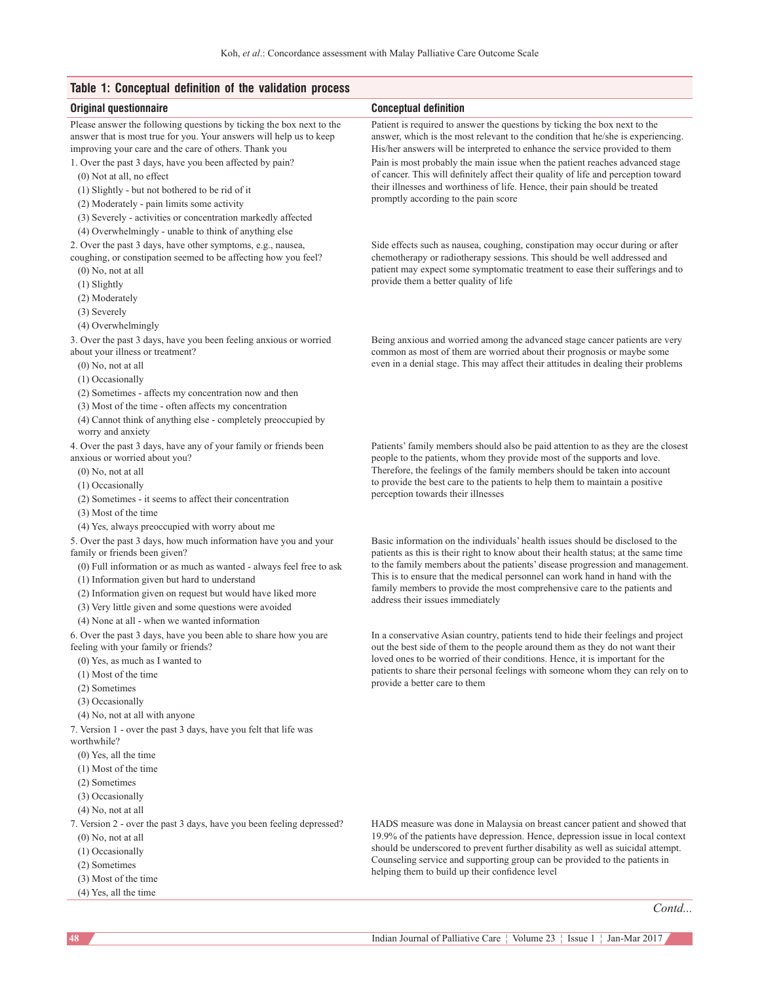## **Table 1: Conceptual definition of the validation process**

| iapio I. Oonooptaal aonintion of the vanuation proocoo                                                                        |                                                                                                                                                                   |
|-------------------------------------------------------------------------------------------------------------------------------|-------------------------------------------------------------------------------------------------------------------------------------------------------------------|
| Original questionnaire                                                                                                        | <b>Conceptual definition</b>                                                                                                                                      |
| Please answer the following questions by ticking the box next to the                                                          | Patient is required to answer the questions by ticking the box next to the                                                                                        |
| answer that is most true for you. Your answers will help us to keep                                                           | answer, which is the most relevant to the condition that he/she is experiencing.                                                                                  |
| improving your care and the care of others. Thank you                                                                         | His/her answers will be interpreted to enhance the service provided to them                                                                                       |
| 1. Over the past 3 days, have you been affected by pain?                                                                      | Pain is most probably the main issue when the patient reaches advanced stage                                                                                      |
| $(0)$ Not at all, no effect                                                                                                   | of cancer. This will definitely affect their quality of life and perception toward<br>their illnesses and worthiness of life. Hence, their pain should be treated |
| (1) Slightly - but not bothered to be rid of it                                                                               | promptly according to the pain score                                                                                                                              |
| (2) Moderately - pain limits some activity                                                                                    |                                                                                                                                                                   |
| (3) Severely - activities or concentration markedly affected                                                                  |                                                                                                                                                                   |
| (4) Overwhelmingly - unable to think of anything else                                                                         |                                                                                                                                                                   |
| 2. Over the past 3 days, have other symptoms, e.g., nausea,<br>coughing, or constipation seemed to be affecting how you feel? | Side effects such as nausea, coughing, constipation may occur during or after<br>chemotherapy or radiotherapy sessions. This should be well addressed and         |
| $(0)$ No, not at all                                                                                                          | patient may expect some symptomatic treatment to ease their sufferings and to                                                                                     |
| (1) Slightly                                                                                                                  | provide them a better quality of life                                                                                                                             |
| (2) Moderately                                                                                                                |                                                                                                                                                                   |
| (3) Severely                                                                                                                  |                                                                                                                                                                   |
| (4) Overwhelmingly                                                                                                            |                                                                                                                                                                   |
| 3. Over the past 3 days, have you been feeling anxious or worried                                                             | Being anxious and worried among the advanced stage cancer patients are very                                                                                       |
| about your illness or treatment?                                                                                              | common as most of them are worried about their prognosis or maybe some                                                                                            |
| $(0)$ No, not at all                                                                                                          | even in a denial stage. This may affect their attitudes in dealing their problems                                                                                 |
| (1) Occasionally                                                                                                              |                                                                                                                                                                   |
| (2) Sometimes - affects my concentration now and then                                                                         |                                                                                                                                                                   |
| (3) Most of the time - often affects my concentration                                                                         |                                                                                                                                                                   |
| (4) Cannot think of anything else - completely preoccupied by                                                                 |                                                                                                                                                                   |
| worry and anxiety                                                                                                             |                                                                                                                                                                   |
| 4. Over the past 3 days, have any of your family or friends been                                                              | Patients' family members should also be paid attention to as they are the closest                                                                                 |
| anxious or worried about you?<br>$(0)$ No, not at all                                                                         | people to the patients, whom they provide most of the supports and love.<br>Therefore, the feelings of the family members should be taken into account            |
| (1) Occasionally                                                                                                              | to provide the best care to the patients to help them to maintain a positive                                                                                      |
| (2) Sometimes - it seems to affect their concentration                                                                        | perception towards their illnesses                                                                                                                                |
| (3) Most of the time                                                                                                          |                                                                                                                                                                   |
| (4) Yes, always preoccupied with worry about me                                                                               |                                                                                                                                                                   |
| 5. Over the past 3 days, how much information have you and your                                                               | Basic information on the individuals' health issues should be disclosed to the                                                                                    |
| family or friends been given?                                                                                                 | patients as this is their right to know about their health status; at the same time                                                                               |
| (0) Full information or as much as wanted - always feel free to ask                                                           | to the family members about the patients' disease progression and management.                                                                                     |
| (1) Information given but hard to understand                                                                                  | This is to ensure that the medical personnel can work hand in hand with the                                                                                       |
| (2) Information given on request but would have liked more                                                                    | family members to provide the most comprehensive care to the patients and<br>address their issues immediately                                                     |
| (3) Very little given and some questions were avoided                                                                         |                                                                                                                                                                   |
| (4) None at all - when we wanted information                                                                                  |                                                                                                                                                                   |
| 6. Over the past 3 days, have you been able to share how you are                                                              | In a conservative Asian country, patients tend to hide their feelings and project                                                                                 |
| feeling with your family or friends?                                                                                          | out the best side of them to the people around them as they do not want their<br>loved ones to be worried of their conditions. Hence, it is important for the     |
| (0) Yes, as much as I wanted to                                                                                               | patients to share their personal feelings with someone whom they can rely on to                                                                                   |
| $(1)$ Most of the time<br>(2) Sometimes                                                                                       | provide a better care to them                                                                                                                                     |
| (3) Occasionally                                                                                                              |                                                                                                                                                                   |
| (4) No, not at all with anyone                                                                                                |                                                                                                                                                                   |
| 7. Version 1 - over the past 3 days, have you felt that life was                                                              |                                                                                                                                                                   |
| worthwhile?                                                                                                                   |                                                                                                                                                                   |
| $(0)$ Yes, all the time                                                                                                       |                                                                                                                                                                   |
| $(1)$ Most of the time                                                                                                        |                                                                                                                                                                   |
| (2) Sometimes                                                                                                                 |                                                                                                                                                                   |
| (3) Occasionally                                                                                                              |                                                                                                                                                                   |
| $(4)$ No, not at all                                                                                                          |                                                                                                                                                                   |
| 7. Version 2 - over the past 3 days, have you been feeling depressed?                                                         | HADS measure was done in Malaysia on breast cancer patient and showed that                                                                                        |
| $(0)$ No, not at all                                                                                                          | 19.9% of the patients have depression. Hence, depression issue in local context                                                                                   |
| (1) Occasionally                                                                                                              | should be underscored to prevent further disability as well as suicidal attempt.<br>Counseling service and supporting group can be provided to the patients in    |
| (2) Sometimes                                                                                                                 | helping them to build up their confidence level                                                                                                                   |
| (3) Most of the time                                                                                                          |                                                                                                                                                                   |

*Contd...*

(4) Yes, all the time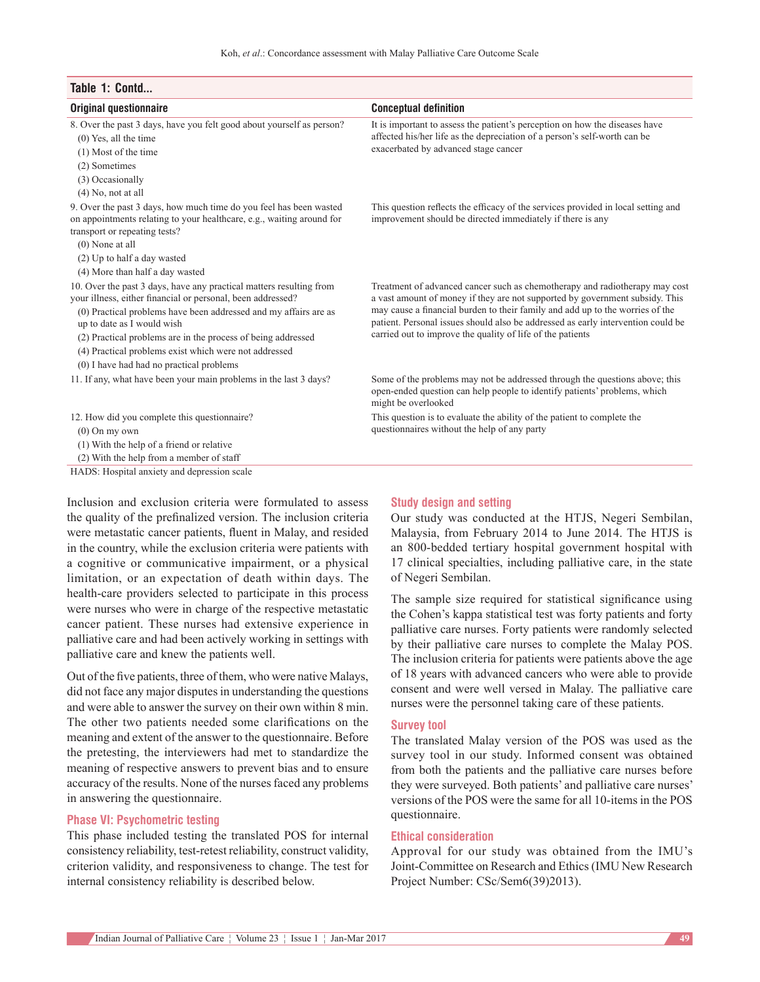| Table 1: Contd                                                                                                                                                                                                                                                                                                                                                                                            |                                                                                                                                                                                                                                                                                                                                                                                                |
|-----------------------------------------------------------------------------------------------------------------------------------------------------------------------------------------------------------------------------------------------------------------------------------------------------------------------------------------------------------------------------------------------------------|------------------------------------------------------------------------------------------------------------------------------------------------------------------------------------------------------------------------------------------------------------------------------------------------------------------------------------------------------------------------------------------------|
| <b>Original questionnaire</b>                                                                                                                                                                                                                                                                                                                                                                             | <b>Conceptual definition</b>                                                                                                                                                                                                                                                                                                                                                                   |
| 8. Over the past 3 days, have you felt good about yourself as person?<br>$(0)$ Yes, all the time<br>$(1)$ Most of the time<br>(2) Sometimes<br>(3) Occasionally<br>$(4)$ No, not at all                                                                                                                                                                                                                   | It is important to assess the patient's perception on how the diseases have<br>affected his/her life as the depreciation of a person's self-worth can be<br>exacerbated by advanced stage cancer                                                                                                                                                                                               |
| 9. Over the past 3 days, how much time do you feel has been wasted<br>on appointments relating to your healthcare, e.g., waiting around for<br>transport or repeating tests?<br>$(0)$ None at all<br>(2) Up to half a day wasted<br>(4) More than half a day wasted                                                                                                                                       | This question reflects the efficacy of the services provided in local setting and<br>improvement should be directed immediately if there is any                                                                                                                                                                                                                                                |
| 10. Over the past 3 days, have any practical matters resulting from<br>your illness, either financial or personal, been addressed?<br>(0) Practical problems have been addressed and my affairs are as<br>up to date as I would wish<br>(2) Practical problems are in the process of being addressed<br>(4) Practical problems exist which were not addressed<br>(0) I have had had no practical problems | Treatment of advanced cancer such as chemotherapy and radiotherapy may cost<br>a vast amount of money if they are not supported by government subsidy. This<br>may cause a financial burden to their family and add up to the worries of the<br>patient. Personal issues should also be addressed as early intervention could be<br>carried out to improve the quality of life of the patients |
| 11. If any, what have been your main problems in the last 3 days?                                                                                                                                                                                                                                                                                                                                         | Some of the problems may not be addressed through the questions above; this<br>open-ended question can help people to identify patients' problems, which<br>might be overlooked                                                                                                                                                                                                                |
| 12. How did you complete this questionnaire?<br>$(0)$ On my own<br>(1) With the help of a friend or relative<br>(2) With the help from a member of staff                                                                                                                                                                                                                                                  | This question is to evaluate the ability of the patient to complete the<br>questionnaires without the help of any party                                                                                                                                                                                                                                                                        |
| HADS: Hospital anxiety and depression scale                                                                                                                                                                                                                                                                                                                                                               |                                                                                                                                                                                                                                                                                                                                                                                                |

Inclusion and exclusion criteria were formulated to assess the quality of the prefinalized version. The inclusion criteria were metastatic cancer patients, fluent in Malay, and resided in the country, while the exclusion criteria were patients with a cognitive or communicative impairment, or a physical limitation, or an expectation of death within days. The health-care providers selected to participate in this process were nurses who were in charge of the respective metastatic cancer patient. These nurses had extensive experience in palliative care and had been actively working in settings with palliative care and knew the patients well.

Out of the five patients, three of them, who were native Malays, did not face any major disputes in understanding the questions and were able to answer the survey on their own within 8 min. The other two patients needed some clarifications on the meaning and extent of the answer to the questionnaire. Before the pretesting, the interviewers had met to standardize the meaning of respective answers to prevent bias and to ensure accuracy of the results. None of the nurses faced any problems in answering the questionnaire.

#### **Phase VI: Psychometric testing**

This phase included testing the translated POS for internal consistency reliability, test‑retest reliability, construct validity, criterion validity, and responsiveness to change. The test for internal consistency reliability is described below.

#### **Study design and setting**

Our study was conducted at the HTJS, Negeri Sembilan, Malaysia, from February 2014 to June 2014. The HTJS is an 800‑bedded tertiary hospital government hospital with 17 clinical specialties, including palliative care, in the state of Negeri Sembilan.

The sample size required for statistical significance using the Cohen's kappa statistical test was forty patients and forty palliative care nurses. Forty patients were randomly selected by their palliative care nurses to complete the Malay POS. The inclusion criteria for patients were patients above the age of 18 years with advanced cancers who were able to provide consent and were well versed in Malay. The palliative care nurses were the personnel taking care of these patients.

#### **Survey tool**

The translated Malay version of the POS was used as the survey tool in our study. Informed consent was obtained from both the patients and the palliative care nurses before they were surveyed. Both patients' and palliative care nurses' versions of the POS were the same for all 10‑items in the POS questionnaire.

#### **Ethical consideration**

Approval for our study was obtained from the IMU's Joint-Committee on Research and Ethics (IMU New Research Project Number: CSc/Sem6(39)2013).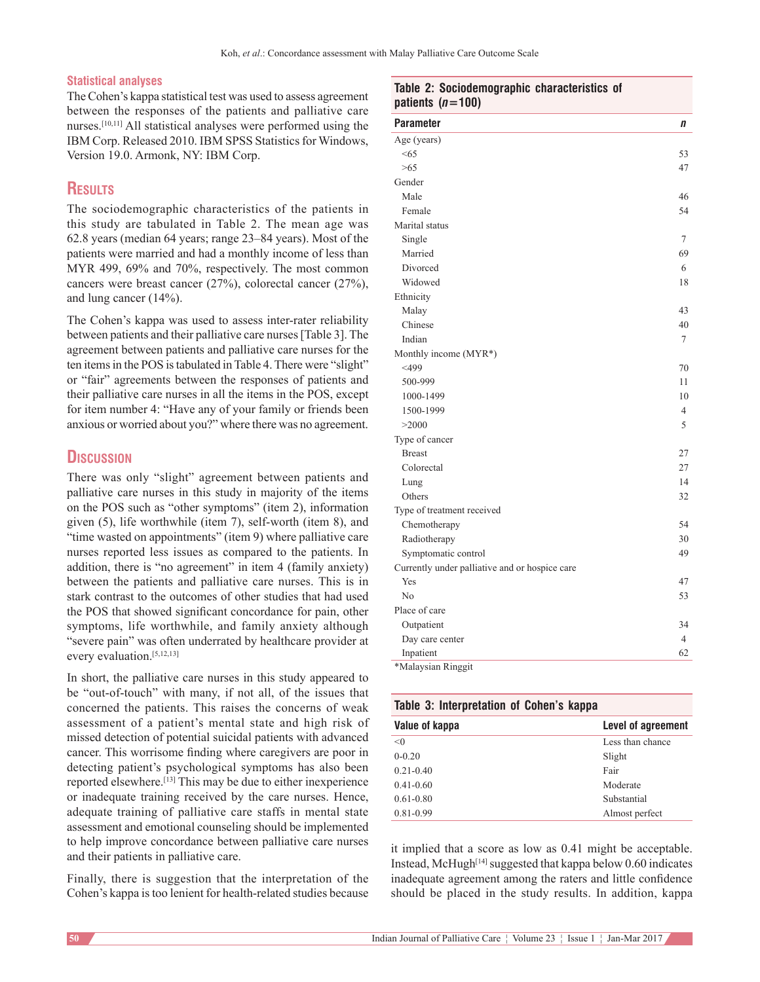#### **Statistical analyses**

The Cohen's kappa statistical test was used to assess agreement between the responses of the patients and palliative care nurses.[10,11] All statistical analyses were performed using the IBM Corp. Released 2010. IBM SPSS Statistics for Windows, Version 19.0. Armonk, NY: IBM Corp.

## **Results**

The sociodemographic characteristics of the patients in this study are tabulated in Table 2. The mean age was 62.8 years (median 64 years; range 23–84 years). Most of the patients were married and had a monthly income of less than MYR 499, 69% and 70%, respectively. The most common cancers were breast cancer (27%), colorectal cancer (27%), and lung cancer (14%).

The Cohen's kappa was used to assess inter-rater reliability between patients and their palliative care nurses[Table 3]. The agreement between patients and palliative care nurses for the ten items in the POS is tabulated in Table 4. There were "slight" or "fair" agreements between the responses of patients and their palliative care nurses in all the items in the POS, except for item number 4: "Have any of your family or friends been anxious or worried about you?" where there was no agreement.

## **Discussion**

There was only "slight" agreement between patients and palliative care nurses in this study in majority of the items on the POS such as "other symptoms" (item 2), information given (5), life worthwhile (item 7), self‑worth (item 8), and "time wasted on appointments" (item 9) where palliative care nurses reported less issues as compared to the patients. In addition, there is "no agreement" in item 4 (family anxiety) between the patients and palliative care nurses. This is in stark contrast to the outcomes of other studies that had used the POS that showed significant concordance for pain, other symptoms, life worthwhile, and family anxiety although "severe pain" was often underrated by healthcare provider at every evaluation.<sup>[5,12,13]</sup>

In short, the palliative care nurses in this study appeared to be "out-of-touch" with many, if not all, of the issues that concerned the patients. This raises the concerns of weak assessment of a patient's mental state and high risk of missed detection of potential suicidal patients with advanced cancer. This worrisome finding where caregivers are poor in detecting patient's psychological symptoms has also been reported elsewhere.[13] This may be due to either inexperience or inadequate training received by the care nurses. Hence, adequate training of palliative care staffs in mental state assessment and emotional counseling should be implemented to help improve concordance between palliative care nurses and their patients in palliative care.

Finally, there is suggestion that the interpretation of the Cohen's kappa is too lenient for health‑related studies because

| <b>Parameter</b>                               | n              |
|------------------------------------------------|----------------|
| Age (years)                                    |                |
| < 65                                           | 53             |
| >65                                            | 47             |
| Gender                                         |                |
| Male                                           | 46             |
| Female                                         | 54             |
| Marital status                                 |                |
| Single                                         | 7              |
| Married                                        | 69             |
| Divorced                                       | 6              |
| Widowed                                        | 18             |
| Ethnicity                                      |                |
| Malay                                          | 43             |
| Chinese                                        | 40             |
| Indian                                         | 7              |
| Monthly income (MYR*)                          |                |
| $<$ 499                                        | 70             |
| 500-999                                        | 11             |
| 1000-1499                                      | 10             |
| 1500-1999                                      | 4              |
| >2000                                          | 5              |
| Type of cancer                                 |                |
| <b>Breast</b>                                  | 27             |
| Colorectal                                     | 27             |
| Lung                                           | 14             |
| Others                                         | 32             |
| Type of treatment received                     |                |
| Chemotherapy                                   | 54             |
| Radiotherapy                                   | 30             |
| Symptomatic control                            | 49             |
| Currently under palliative and or hospice care |                |
| Yes                                            | 47             |
| N <sub>0</sub>                                 | 53             |
| Place of care                                  |                |
| Outpatient                                     | 34             |
| Day care center                                | $\overline{4}$ |
| Inpatient                                      | 62             |

\*Malaysian Ringgit

#### **Table 3: Interpretation of Cohen's kappa**

| Value of kappa | Level of agreement |
|----------------|--------------------|
| < 0            | Less than chance   |
| $0 - 0.20$     | Slight             |
| $0.21 - 0.40$  | Fair               |
| $0.41 - 0.60$  | Moderate           |
| $0.61 - 0.80$  | Substantial        |
| $0.81 - 0.99$  | Almost perfect     |

it implied that a score as low as 0.41 might be acceptable. Instead, McHugh<sup>[14]</sup> suggested that kappa below  $0.60$  indicates inadequate agreement among the raters and little confidence should be placed in the study results. In addition, kappa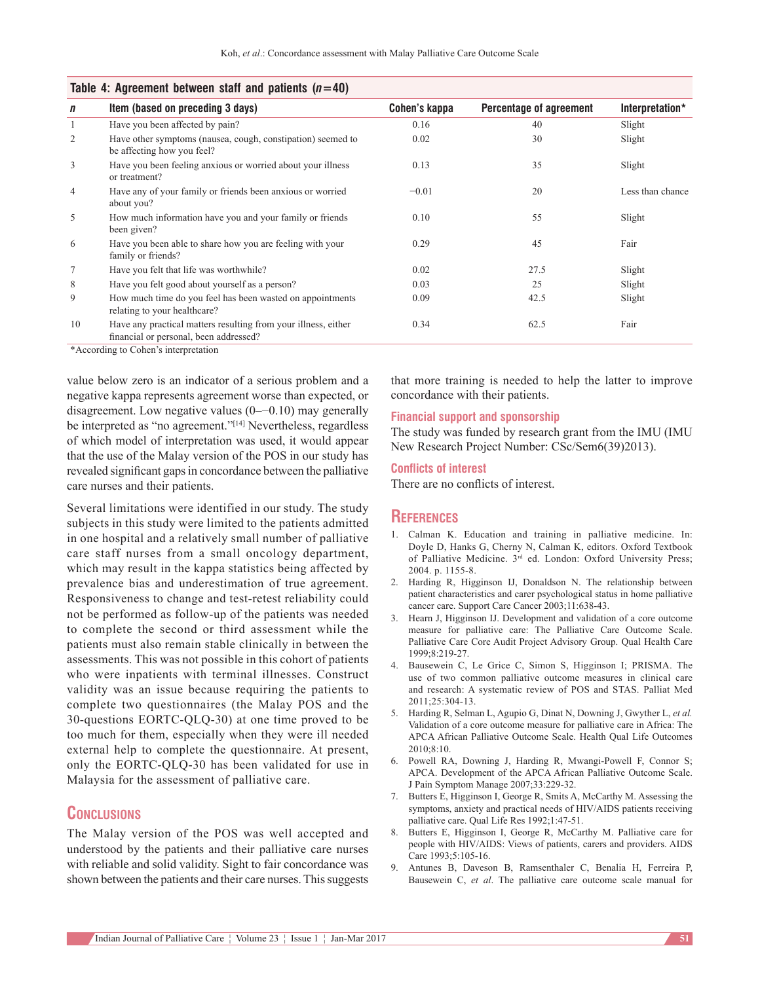| Table 4. Agreement between start and patients $(n=40)$ |                                                                                                          |               |                         |                  |  |  |
|--------------------------------------------------------|----------------------------------------------------------------------------------------------------------|---------------|-------------------------|------------------|--|--|
| $\mathbf n$                                            | Item (based on preceding 3 days)                                                                         | Cohen's kappa | Percentage of agreement | Interpretation*  |  |  |
| 1                                                      | Have you been affected by pain?                                                                          | 0.16          | 40                      | Slight           |  |  |
| 2                                                      | Have other symptoms (nausea, cough, constipation) seemed to<br>be affecting how you feel?                | 0.02          | 30                      | Slight           |  |  |
| 3                                                      | Have you been feeling anxious or worried about your illness<br>or treatment?                             | 0.13          | 35                      | Slight           |  |  |
| $\overline{4}$                                         | Have any of your family or friends been anxious or worried<br>about you?                                 | $-0.01$       | 20                      | Less than chance |  |  |
| 5                                                      | How much information have you and your family or friends<br>been given?                                  | 0.10          | 55                      | Slight           |  |  |
| 6                                                      | Have you been able to share how you are feeling with your<br>family or friends?                          | 0.29          | 45                      | Fair             |  |  |
| 7                                                      | Have you felt that life was worthwhile?                                                                  | 0.02          | 27.5                    | Slight           |  |  |
| 8                                                      | Have you felt good about yourself as a person?                                                           | 0.03          | 25                      | Slight           |  |  |
| 9                                                      | How much time do you feel has been wasted on appointments<br>relating to your healthcare?                | 0.09          | 42.5                    | Slight           |  |  |
| 10                                                     | Have any practical matters resulting from your illness, either<br>financial or personal, been addressed? | 0.34          | 62.5                    | Fair             |  |  |

## **Table 4: Agreement between staff and patients (***n***=40)**

\*According to Cohen's interpretation

value below zero is an indicator of a serious problem and a negative kappa represents agreement worse than expected, or disagreement. Low negative values (0–−0.10) may generally be interpreted as "no agreement."[14] Nevertheless, regardless of which model of interpretation was used, it would appear that the use of the Malay version of the POS in our study has revealed significant gaps in concordance between the palliative care nurses and their patients.

Several limitations were identified in our study. The study subjects in this study were limited to the patients admitted in one hospital and a relatively small number of palliative care staff nurses from a small oncology department, which may result in the kappa statistics being affected by prevalence bias and underestimation of true agreement. Responsiveness to change and test-retest reliability could not be performed as follow‑up of the patients was needed to complete the second or third assessment while the patients must also remain stable clinically in between the assessments. This was not possible in this cohort of patients who were inpatients with terminal illnesses. Construct validity was an issue because requiring the patients to complete two questionnaires (the Malay POS and the 30‑questions EORTC‑QLQ‑30) at one time proved to be too much for them, especially when they were ill needed external help to complete the questionnaire. At present, only the EORTC‑QLQ‑30 has been validated for use in Malaysia for the assessment of palliative care.

## **Conclusions**

The Malay version of the POS was well accepted and understood by the patients and their palliative care nurses with reliable and solid validity. Sight to fair concordance was shown between the patients and their care nurses. This suggests that more training is needed to help the latter to improve concordance with their patients.

#### **Financial support and sponsorship**

The study was funded by research grant from the IMU (IMU New Research Project Number: CSc/Sem6(39)2013).

#### **Conflicts of interest**

There are no conflicts of interest.

## **References**

- 1. Calman K. Education and training in palliative medicine. In: Doyle D, Hanks G, Cherny N, Calman K, editors. Oxford Textbook of Palliative Medicine. 3rd ed. London: Oxford University Press; 2004. p. 1155-8.
- 2. Harding R, Higginson IJ, Donaldson N. The relationship between patient characteristics and carer psychological status in home palliative cancer care. Support Care Cancer 2003;11:638-43.
- 3. Hearn J, Higginson IJ. Development and validation of a core outcome measure for palliative care: The Palliative Care Outcome Scale. Palliative Care Core Audit Project Advisory Group. Qual Health Care 1999;8:219‑27.
- 4. Bausewein C, Le Grice C, Simon S, Higginson I; PRISMA. The use of two common palliative outcome measures in clinical care and research: A systematic review of POS and STAS. Palliat Med  $2011:25:304-13$
- 5. Harding R, Selman L, Agupio G, Dinat N, Downing J, Gwyther L, *et al.* Validation of a core outcome measure for palliative care in Africa: The APCA African Palliative Outcome Scale. Health Qual Life Outcomes 2010;8:10.
- 6. Powell RA, Downing J, Harding R, Mwangi‑Powell F, Connor S; APCA. Development of the APCA African Palliative Outcome Scale. J Pain Symptom Manage 2007;33:229‑32.
- 7. Butters E, Higginson I, George R, Smits A, McCarthy M. Assessing the symptoms, anxiety and practical needs of HIV/AIDS patients receiving palliative care. Qual Life Res 1992;1:47‑51.
- 8. Butters E, Higginson I, George R, McCarthy M. Palliative care for people with HIV/AIDS: Views of patients, carers and providers. AIDS Care 1993:5:105-16.
- 9. Antunes B, Daveson B, Ramsenthaler C, Benalia H, Ferreira P, Bausewein C, *et al*. The palliative care outcome scale manual for